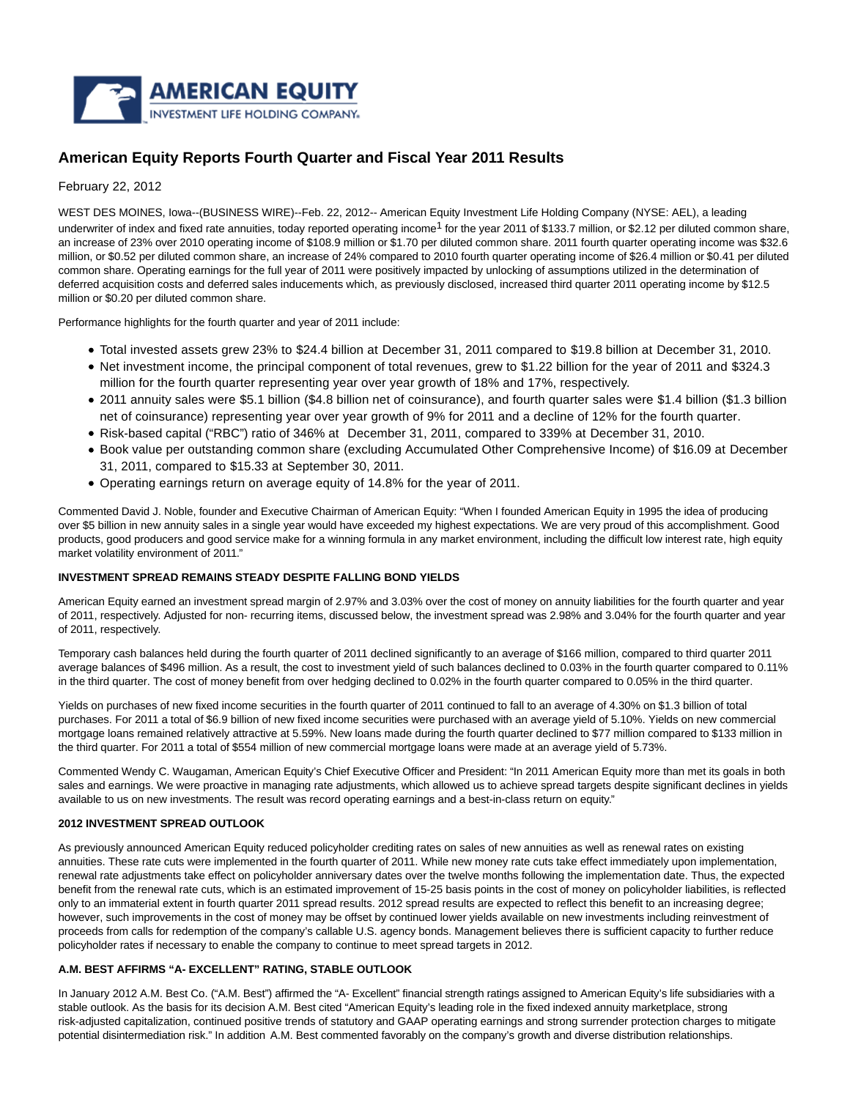

# **American Equity Reports Fourth Quarter and Fiscal Year 2011 Results**

February 22, 2012

WEST DES MOINES, Iowa--(BUSINESS WIRE)--Feb. 22, 2012-- American Equity Investment Life Holding Company (NYSE: AEL), a leading underwriter of index and fixed rate annuities, today reported operating income<sup>1</sup> for the year 2011 of \$133.7 million, or \$2.12 per diluted common share, an increase of 23% over 2010 operating income of \$108.9 million or \$1.70 per diluted common share. 2011 fourth quarter operating income was \$32.6 million, or \$0.52 per diluted common share, an increase of 24% compared to 2010 fourth quarter operating income of \$26.4 million or \$0.41 per diluted common share. Operating earnings for the full year of 2011 were positively impacted by unlocking of assumptions utilized in the determination of deferred acquisition costs and deferred sales inducements which, as previously disclosed, increased third quarter 2011 operating income by \$12.5 million or \$0.20 per diluted common share.

Performance highlights for the fourth quarter and year of 2011 include:

- Total invested assets grew 23% to \$24.4 billion at December 31, 2011 compared to \$19.8 billion at December 31, 2010.
- Net investment income, the principal component of total revenues, grew to \$1.22 billion for the year of 2011 and \$324.3 million for the fourth quarter representing year over year growth of 18% and 17%, respectively.
- 2011 annuity sales were \$5.1 billion (\$4.8 billion net of coinsurance), and fourth quarter sales were \$1.4 billion (\$1.3 billion net of coinsurance) representing year over year growth of 9% for 2011 and a decline of 12% for the fourth quarter.
- Risk-based capital ("RBC") ratio of 346% at December 31, 2011, compared to 339% at December 31, 2010.
- Book value per outstanding common share (excluding Accumulated Other Comprehensive Income) of \$16.09 at December 31, 2011, compared to \$15.33 at September 30, 2011.
- Operating earnings return on average equity of 14.8% for the year of 2011.

Commented David J. Noble, founder and Executive Chairman of American Equity: "When I founded American Equity in 1995 the idea of producing over \$5 billion in new annuity sales in a single year would have exceeded my highest expectations. We are very proud of this accomplishment. Good products, good producers and good service make for a winning formula in any market environment, including the difficult low interest rate, high equity market volatility environment of 2011."

#### **INVESTMENT SPREAD REMAINS STEADY DESPITE FALLING BOND YIELDS**

American Equity earned an investment spread margin of 2.97% and 3.03% over the cost of money on annuity liabilities for the fourth quarter and year of 2011, respectively. Adjusted for non- recurring items, discussed below, the investment spread was 2.98% and 3.04% for the fourth quarter and year of 2011, respectively.

Temporary cash balances held during the fourth quarter of 2011 declined significantly to an average of \$166 million, compared to third quarter 2011 average balances of \$496 million. As a result, the cost to investment yield of such balances declined to 0.03% in the fourth quarter compared to 0.11% in the third quarter. The cost of money benefit from over hedging declined to 0.02% in the fourth quarter compared to 0.05% in the third quarter.

Yields on purchases of new fixed income securities in the fourth quarter of 2011 continued to fall to an average of 4.30% on \$1.3 billion of total purchases. For 2011 a total of \$6.9 billion of new fixed income securities were purchased with an average yield of 5.10%. Yields on new commercial mortgage loans remained relatively attractive at 5.59%. New loans made during the fourth quarter declined to \$77 million compared to \$133 million in the third quarter. For 2011 a total of \$554 million of new commercial mortgage loans were made at an average yield of 5.73%.

Commented Wendy C. Waugaman, American Equity's Chief Executive Officer and President: "In 2011 American Equity more than met its goals in both sales and earnings. We were proactive in managing rate adjustments, which allowed us to achieve spread targets despite significant declines in yields available to us on new investments. The result was record operating earnings and a best-in-class return on equity."

# **2012 INVESTMENT SPREAD OUTLOOK**

As previously announced American Equity reduced policyholder crediting rates on sales of new annuities as well as renewal rates on existing annuities. These rate cuts were implemented in the fourth quarter of 2011. While new money rate cuts take effect immediately upon implementation, renewal rate adjustments take effect on policyholder anniversary dates over the twelve months following the implementation date. Thus, the expected benefit from the renewal rate cuts, which is an estimated improvement of 15-25 basis points in the cost of money on policyholder liabilities, is reflected only to an immaterial extent in fourth quarter 2011 spread results. 2012 spread results are expected to reflect this benefit to an increasing degree; however, such improvements in the cost of money may be offset by continued lower yields available on new investments including reinvestment of proceeds from calls for redemption of the company's callable U.S. agency bonds. Management believes there is sufficient capacity to further reduce policyholder rates if necessary to enable the company to continue to meet spread targets in 2012.

# **A.M. BEST AFFIRMS "A- EXCELLENT" RATING, STABLE OUTLOOK**

In January 2012 A.M. Best Co. ("A.M. Best") affirmed the "A- Excellent" financial strength ratings assigned to American Equity's life subsidiaries with a stable outlook. As the basis for its decision A.M. Best cited "American Equity's leading role in the fixed indexed annuity marketplace, strong risk-adjusted capitalization, continued positive trends of statutory and GAAP operating earnings and strong surrender protection charges to mitigate potential disintermediation risk." In addition A.M. Best commented favorably on the company's growth and diverse distribution relationships.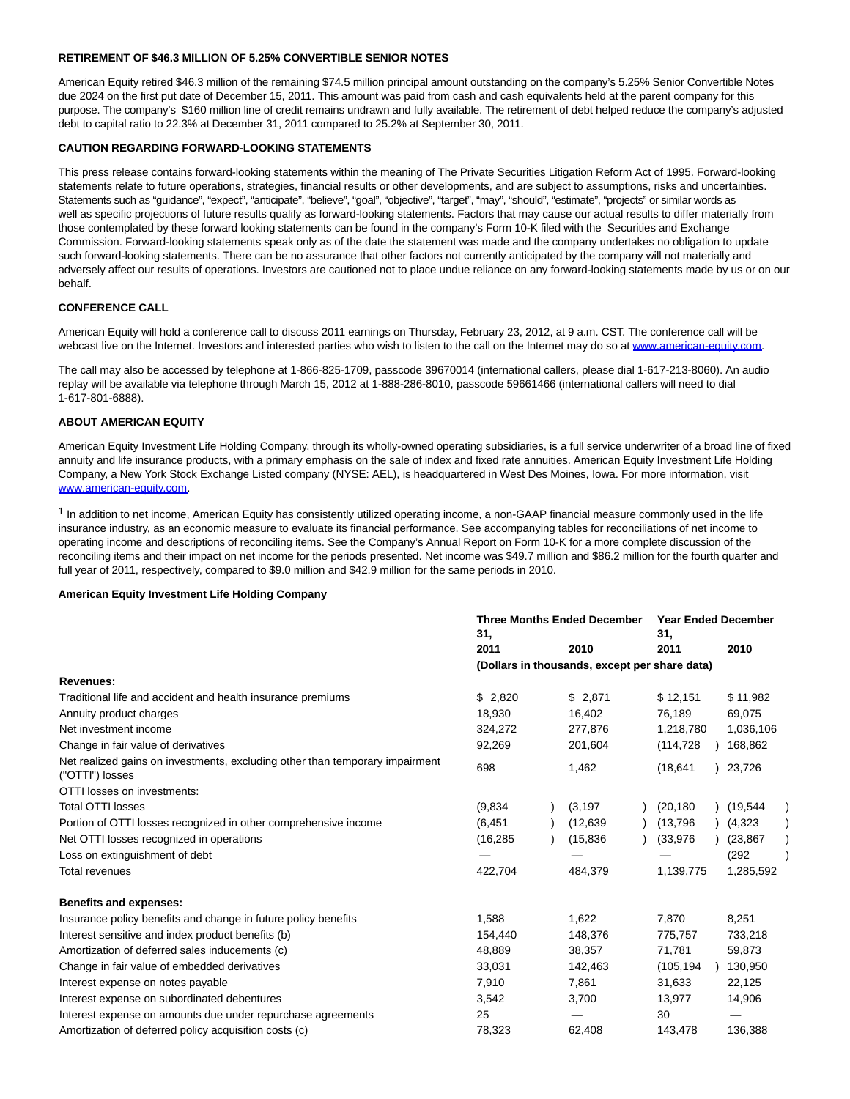#### **RETIREMENT OF \$46.3 MILLION OF 5.25% CONVERTIBLE SENIOR NOTES**

American Equity retired \$46.3 million of the remaining \$74.5 million principal amount outstanding on the company's 5.25% Senior Convertible Notes due 2024 on the first put date of December 15, 2011. This amount was paid from cash and cash equivalents held at the parent company for this purpose. The company's \$160 million line of credit remains undrawn and fully available. The retirement of debt helped reduce the company's adjusted debt to capital ratio to 22.3% at December 31, 2011 compared to 25.2% at September 30, 2011.

#### **CAUTION REGARDING FORWARD-LOOKING STATEMENTS**

This press release contains forward-looking statements within the meaning of The Private Securities Litigation Reform Act of 1995. Forward-looking statements relate to future operations, strategies, financial results or other developments, and are subject to assumptions, risks and uncertainties. Statements such as "guidance", "expect", "anticipate", "believe", "goal", "objective", "target", "may", "should", "estimate", "projects" or similar words as well as specific projections of future results qualify as forward-looking statements. Factors that may cause our actual results to differ materially from those contemplated by these forward looking statements can be found in the company's Form 10-K filed with the Securities and Exchange Commission. Forward-looking statements speak only as of the date the statement was made and the company undertakes no obligation to update such forward-looking statements. There can be no assurance that other factors not currently anticipated by the company will not materially and adversely affect our results of operations. Investors are cautioned not to place undue reliance on any forward-looking statements made by us or on our behalf.

## **CONFERENCE CALL**

American Equity will hold a conference call to discuss 2011 earnings on Thursday, February 23, 2012, at 9 a.m. CST. The conference call will be webcast live on the Internet. Investors and interested parties who wish to listen to the call on the Internet may do so at [www.american-equity.com.](http://cts.businesswire.com/ct/CT?id=smartlink&url=http%3A%2F%2Fwww.american-equity.com&esheet=50178670&lan=en-US&anchor=www.american-equity.com&index=1&md5=1ed4ccba2d04dbd000a95e22580733b6)

The call may also be accessed by telephone at 1-866-825-1709, passcode 39670014 (international callers, please dial 1-617-213-8060). An audio replay will be available via telephone through March 15, 2012 at 1-888-286-8010, passcode 59661466 (international callers will need to dial 1-617-801-6888).

## **ABOUT AMERICAN EQUITY**

American Equity Investment Life Holding Company, through its wholly-owned operating subsidiaries, is a full service underwriter of a broad line of fixed annuity and life insurance products, with a primary emphasis on the sale of index and fixed rate annuities. American Equity Investment Life Holding Company, a New York Stock Exchange Listed company (NYSE: AEL), is headquartered in West Des Moines, Iowa. For more information, visit [www.american-equity.com.](http://cts.businesswire.com/ct/CT?id=smartlink&url=http%3A%2F%2Fwww.american-equity.com&esheet=50178670&lan=en-US&anchor=www.american-equity.com&index=2&md5=61374386f4d3bfe7be0b642c66cb5b99)

 $1$  In addition to net income, American Equity has consistently utilized operating income, a non-GAAP financial measure commonly used in the life insurance industry, as an economic measure to evaluate its financial performance. See accompanying tables for reconciliations of net income to operating income and descriptions of reconciling items. See the Company's Annual Report on Form 10-K for a more complete discussion of the reconciling items and their impact on net income for the periods presented. Net income was \$49.7 million and \$86.2 million for the fourth quarter and full year of 2011, respectively, compared to \$9.0 million and \$42.9 million for the same periods in 2010.

## **American Equity Investment Life Holding Company**

|                                                                                                 | <b>Three Months Ended December</b><br>31, |  |                                               | <b>Year Ended December</b><br>31, |            |  |           |  |
|-------------------------------------------------------------------------------------------------|-------------------------------------------|--|-----------------------------------------------|-----------------------------------|------------|--|-----------|--|
|                                                                                                 | 2011                                      |  | 2010                                          |                                   | 2011       |  | 2010      |  |
|                                                                                                 |                                           |  | (Dollars in thousands, except per share data) |                                   |            |  |           |  |
| Revenues:                                                                                       |                                           |  |                                               |                                   |            |  |           |  |
| Traditional life and accident and health insurance premiums                                     | \$2,820                                   |  | \$2,871                                       |                                   | \$12,151   |  | \$11,982  |  |
| Annuity product charges                                                                         | 18.930                                    |  | 16,402                                        |                                   | 76,189     |  | 69,075    |  |
| Net investment income                                                                           | 324,272                                   |  | 277,876                                       |                                   | 1,218,780  |  | 1,036,106 |  |
| Change in fair value of derivatives                                                             | 92,269                                    |  | 201,604                                       |                                   | (114, 728) |  | 168,862   |  |
| Net realized gains on investments, excluding other than temporary impairment<br>("OTTI") losses | 698                                       |  | 1.462                                         |                                   | (18, 641)  |  | 23,726    |  |
| OTTI losses on investments:                                                                     |                                           |  |                                               |                                   |            |  |           |  |
| <b>Total OTTI losses</b>                                                                        | (9,834)                                   |  | (3, 197)                                      |                                   | (20, 180)  |  | (19.544)  |  |
| Portion of OTTI losses recognized in other comprehensive income                                 | (6, 451)                                  |  | (12, 639)                                     |                                   | (13,796)   |  | (4,323)   |  |
| Net OTTI losses recognized in operations                                                        | (16, 285)                                 |  | (15, 836)                                     |                                   | (33,976)   |  | (23, 867) |  |
| Loss on extinguishment of debt                                                                  |                                           |  |                                               |                                   |            |  | (292)     |  |
| <b>Total revenues</b>                                                                           | 422,704                                   |  | 484,379                                       |                                   | 1,139,775  |  | 1,285,592 |  |
| <b>Benefits and expenses:</b>                                                                   |                                           |  |                                               |                                   |            |  |           |  |
| Insurance policy benefits and change in future policy benefits                                  | 1,588                                     |  | 1,622                                         |                                   | 7,870      |  | 8,251     |  |
| Interest sensitive and index product benefits (b)                                               | 154,440                                   |  | 148,376                                       |                                   | 775,757    |  | 733,218   |  |
| Amortization of deferred sales inducements (c)                                                  | 48,889                                    |  | 38,357                                        |                                   | 71,781     |  | 59,873    |  |
| Change in fair value of embedded derivatives                                                    | 33,031                                    |  | 142,463                                       |                                   | (105, 194) |  | 130,950   |  |
| Interest expense on notes payable                                                               | 7,910                                     |  | 7,861                                         |                                   | 31,633     |  | 22,125    |  |
| Interest expense on subordinated debentures                                                     | 3,542                                     |  | 3,700                                         |                                   | 13,977     |  | 14,906    |  |
| Interest expense on amounts due under repurchase agreements                                     | 25                                        |  |                                               |                                   | 30         |  |           |  |
| Amortization of deferred policy acquisition costs (c)                                           | 78.323                                    |  | 62.408                                        |                                   | 143,478    |  | 136.388   |  |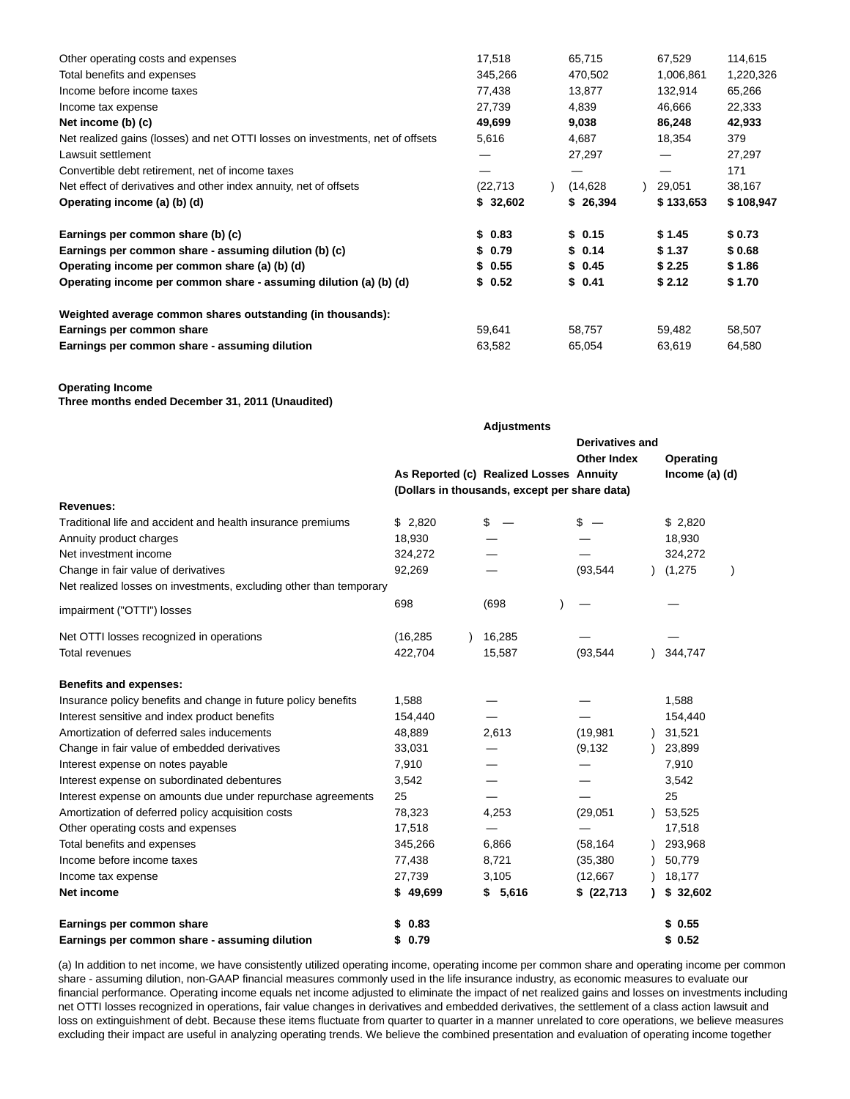| Other operating costs and expenses                                             | 17,518<br>65,715 |  | 67,529    |        | 114,615   |           |
|--------------------------------------------------------------------------------|------------------|--|-----------|--------|-----------|-----------|
| Total benefits and expenses                                                    | 345,266          |  | 470,502   |        | 1,006,861 | 1,220,326 |
| Income before income taxes                                                     | 77,438           |  | 13,877    |        | 132,914   | 65,266    |
| Income tax expense                                                             | 27,739           |  | 4,839     |        | 46,666    | 22,333    |
| Net income (b) (c)                                                             | 49,699<br>9,038  |  | 86,248    |        | 42,933    |           |
| Net realized gains (losses) and net OTTI losses on investments, net of offsets | 5,616            |  | 4,687     | 18,354 |           | 379       |
| Lawsuit settlement                                                             |                  |  | 27,297    |        |           | 27,297    |
| Convertible debt retirement, net of income taxes                               |                  |  |           |        |           | 171       |
| Net effect of derivatives and other index annuity, net of offsets              | (22, 713)        |  | (14, 628) |        | 29,051    | 38,167    |
| Operating income (a) (b) (d)                                                   | \$32,602         |  | \$26,394  |        | \$133,653 | \$108,947 |
| Earnings per common share (b) (c)                                              | \$0.83           |  | \$0.15    |        | \$1.45    | \$0.73    |
| Earnings per common share - assuming dilution (b) (c)                          | \$ 0.79          |  | \$0.14    |        | \$1.37    | \$0.68    |
| Operating income per common share (a) (b) (d)                                  | \$0.55           |  | \$0.45    |        | \$2.25    | \$1.86    |
| Operating income per common share - assuming dilution (a) (b) (d)              | \$0.52           |  | \$0.41    |        | \$2.12    | \$1.70    |
| Weighted average common shares outstanding (in thousands):                     |                  |  |           |        |           |           |
| Earnings per common share                                                      | 59,641           |  | 58,757    |        | 59,482    | 58,507    |
| Earnings per common share - assuming dilution                                  | 63,582           |  | 65,054    |        | 63,619    | 64,580    |

#### **Operating Income**

**Three months ended December 31, 2011 (Unaudited)**

|                                                                    |           | <b>Adjustments</b>                            |                        |                |  |
|--------------------------------------------------------------------|-----------|-----------------------------------------------|------------------------|----------------|--|
|                                                                    |           |                                               | <b>Derivatives and</b> |                |  |
|                                                                    |           |                                               | <b>Other Index</b>     | Operating      |  |
|                                                                    |           | As Reported (c) Realized Losses Annuity       |                        | Income (a) (d) |  |
|                                                                    |           | (Dollars in thousands, except per share data) |                        |                |  |
| <b>Revenues:</b>                                                   |           |                                               |                        |                |  |
| Traditional life and accident and health insurance premiums        | \$2,820   | \$                                            | \$                     | \$2,820        |  |
| Annuity product charges                                            | 18,930    |                                               |                        | 18,930         |  |
| Net investment income                                              | 324,272   |                                               |                        | 324,272        |  |
| Change in fair value of derivatives                                | 92,269    |                                               | (93, 544)              | (1, 275)       |  |
| Net realized losses on investments, excluding other than temporary |           |                                               |                        |                |  |
| impairment ("OTTI") losses                                         | 698       | (698)                                         |                        |                |  |
| Net OTTI losses recognized in operations                           | (16, 285) | 16,285                                        |                        |                |  |
| <b>Total revenues</b>                                              | 422,704   | 15,587                                        | (93, 544)              | 344,747        |  |
| <b>Benefits and expenses:</b>                                      |           |                                               |                        |                |  |
| Insurance policy benefits and change in future policy benefits     | 1,588     |                                               |                        | 1,588          |  |
| Interest sensitive and index product benefits                      | 154,440   |                                               |                        | 154,440        |  |
| Amortization of deferred sales inducements                         | 48,889    | 2,613                                         | (19, 981)              | 31,521         |  |
| Change in fair value of embedded derivatives                       | 33,031    |                                               | (9, 132)               | 23,899         |  |
| Interest expense on notes payable                                  | 7,910     |                                               |                        | 7,910          |  |
| Interest expense on subordinated debentures                        | 3,542     |                                               |                        | 3,542          |  |
| Interest expense on amounts due under repurchase agreements        | 25        |                                               |                        | 25             |  |
| Amortization of deferred policy acquisition costs                  | 78,323    | 4,253                                         | (29, 051)              | 53,525         |  |
| Other operating costs and expenses                                 | 17,518    |                                               |                        | 17,518         |  |
| Total benefits and expenses                                        | 345,266   | 6,866                                         | (58, 164)              | 293,968        |  |
| Income before income taxes                                         | 77,438    | 8,721                                         | (35, 380)              | 50,779         |  |
| Income tax expense                                                 | 27,739    | 3,105                                         | (12, 667)              | 18,177         |  |
| Net income                                                         | \$49,699  | \$5,616                                       | \$ (22,713)            | \$32,602       |  |
| Earnings per common share                                          | \$0.83    |                                               |                        | \$0.55         |  |
| Earnings per common share - assuming dilution                      | \$0.79    |                                               |                        | \$0.52         |  |

(a) In addition to net income, we have consistently utilized operating income, operating income per common share and operating income per common share - assuming dilution, non-GAAP financial measures commonly used in the life insurance industry, as economic measures to evaluate our financial performance. Operating income equals net income adjusted to eliminate the impact of net realized gains and losses on investments including net OTTI losses recognized in operations, fair value changes in derivatives and embedded derivatives, the settlement of a class action lawsuit and loss on extinguishment of debt. Because these items fluctuate from quarter to quarter in a manner unrelated to core operations, we believe measures excluding their impact are useful in analyzing operating trends. We believe the combined presentation and evaluation of operating income together